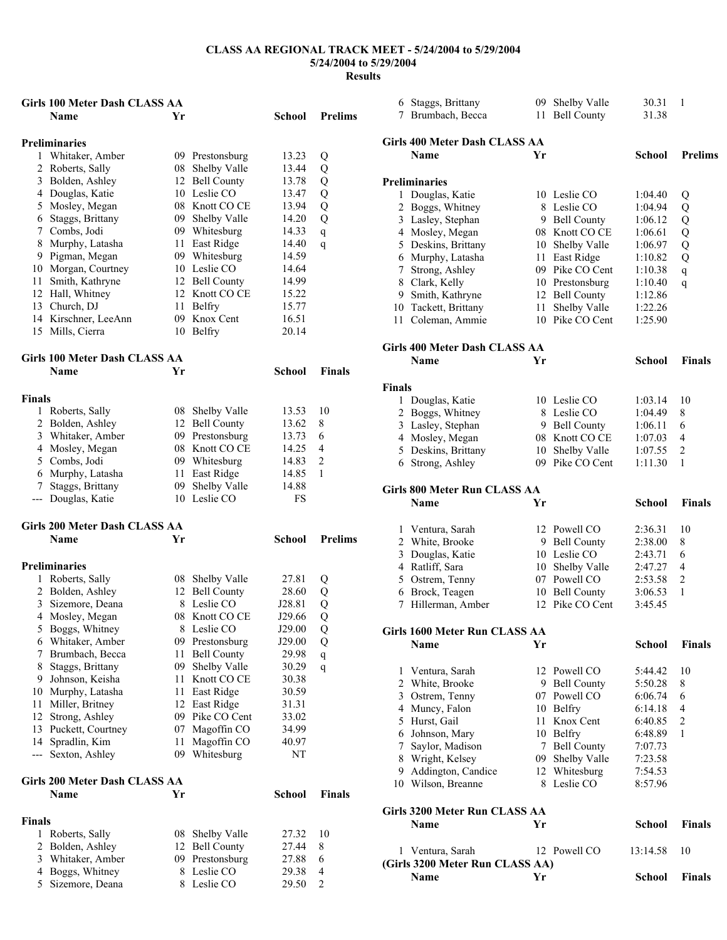|               | Girls 100 Meter Dash CLASS AA                       |          |                                |                |                     |               | 6 Staggs, Brittany                      |    | 09 Shelby Valle | 30.31         | - 1            |
|---------------|-----------------------------------------------------|----------|--------------------------------|----------------|---------------------|---------------|-----------------------------------------|----|-----------------|---------------|----------------|
|               | Name                                                | Yr       |                                | School         | <b>Prelims</b>      |               | 7 Brumbach, Becca                       |    | 11 Bell County  | 31.38         |                |
|               |                                                     |          |                                |                |                     |               |                                         |    |                 |               |                |
|               | <b>Preliminaries</b>                                |          |                                |                |                     |               | Girls 400 Meter Dash CLASS AA           |    |                 |               |                |
|               | 1 Whitaker, Amber                                   |          | 09 Prestonsburg                | 13.23          | Q                   |               | <b>Name</b>                             | Yr |                 | <b>School</b> | <b>Prelims</b> |
|               | 2 Roberts, Sally                                    | 08       | Shelby Valle                   | 13.44          | Q                   |               |                                         |    |                 |               |                |
| 3             | Bolden, Ashley                                      | 12       | <b>Bell County</b>             | 13.78          | Q                   |               | <b>Preliminaries</b>                    |    |                 |               |                |
|               | 4 Douglas, Katie                                    |          | 10 Leslie CO                   | 13.47          | Q                   |               | 1 Douglas, Katie                        |    | 10 Leslie CO    | 1:04.40       | Q              |
| 5             | Mosley, Megan                                       |          | 08 Knott CO CE                 | 13.94          | Q                   |               | 2 Boggs, Whitney                        |    | 8 Leslie CO     | 1:04.94       | Q              |
|               | 6 Staggs, Brittany                                  | 09       | Shelby Valle                   | 14.20          | Q                   |               | 3 Lasley, Stephan                       |    | 9 Bell County   | 1:06.12       | Q              |
|               | 7 Combs, Jodi                                       |          | 09 Whitesburg                  | 14.33          | q                   |               | 4 Mosley, Megan                         |    | 08 Knott CO CE  | 1:06.61       | Q              |
|               | 8 Murphy, Latasha                                   | 11       | East Ridge                     | 14.40          | q                   |               | 5 Deskins, Brittany                     |    | 10 Shelby Valle | 1:06.97       | Q              |
|               | 9 Pigman, Megan                                     |          | 09 Whitesburg                  | 14.59          |                     |               | 6 Murphy, Latasha                       |    | 11 East Ridge   | 1:10.82       | Q              |
|               | 10 Morgan, Courtney                                 |          | 10 Leslie CO                   | 14.64          |                     | 7             | Strong, Ashley                          |    | 09 Pike CO Cent | 1:10.38       | q              |
| 11            | Smith, Kathryne                                     |          | 12 Bell County                 | 14.99          |                     | 8             | Clark, Kelly                            |    | 10 Prestonsburg | 1:10.40       | q              |
|               | 12 Hall, Whitney                                    |          | 12 Knott CO CE                 | 15.22          |                     | 9             | Smith, Kathryne                         |    | 12 Bell County  | 1:12.86       |                |
|               | 13 Church, DJ                                       |          | 11 Belfry                      | 15.77          |                     | 10            | Tackett, Brittany                       |    | 11 Shelby Valle | 1:22.26       |                |
|               | 14 Kirschner, LeeAnn                                | 09       | Knox Cent                      | 16.51          |                     |               | 11 Coleman, Ammie                       |    | 10 Pike CO Cent | 1:25.90       |                |
|               | 15 Mills, Cierra                                    |          | 10 Belfry                      | 20.14          |                     |               |                                         |    |                 |               |                |
|               |                                                     |          |                                |                |                     |               | <b>Girls 400 Meter Dash CLASS AA</b>    |    |                 |               |                |
|               | <b>Girls 100 Meter Dash CLASS AA</b><br><b>Name</b> | Yr       |                                | School         | Finals              |               | Name                                    | Yr |                 | School        | <b>Finals</b>  |
|               |                                                     |          |                                |                |                     |               |                                         |    |                 |               |                |
| Finals        |                                                     |          |                                |                |                     | <b>Finals</b> |                                         |    |                 |               |                |
|               |                                                     |          |                                |                |                     |               | 1 Douglas, Katie                        |    | 10 Leslie CO    | 1:03.14       | -10            |
|               | 1 Roberts, Sally                                    | 08       | <b>Shelby Valle</b>            | 13.53<br>13.62 | 10<br>8             |               | 2 Boggs, Whitney                        |    | 8 Leslie CO     | 1:04.49       | 8              |
|               | 2 Bolden, Ashley                                    | 12       | <b>Bell County</b>             | 13.73          |                     |               | 3 Lasley, Stephan                       |    | 9 Bell County   | 1:06.11       | 6              |
|               | 3 Whitaker, Amber<br>4 Mosley, Megan                | 09       | Prestonsburg<br>08 Knott CO CE | 14.25          | 6<br>$\overline{4}$ |               | 4 Mosley, Megan                         |    | 08 Knott CO CE  | 1:07.03       | 4              |
|               |                                                     |          |                                | 14.83          | 2                   |               | 5 Deskins, Brittany                     |    | 10 Shelby Valle | 1:07.55       | 2              |
|               | 5 Combs, Jodi                                       | 09       | Whitesburg                     |                | -1                  |               | 6 Strong, Ashley                        |    | 09 Pike CO Cent | 1:11.30       | -1             |
| 6             | Murphy, Latasha<br>Staggs, Brittany                 | 11<br>09 | East Ridge<br>Shelby Valle     | 14.85<br>14.88 |                     |               |                                         |    |                 |               |                |
| 7             |                                                     |          |                                |                |                     |               | <b>Girls 800 Meter Run CLASS AA</b>     |    |                 |               |                |
|               |                                                     |          |                                |                |                     |               |                                         |    |                 |               |                |
|               | --- Douglas, Katie                                  |          | 10 Leslie CO                   | FS             |                     |               | Name                                    | Yr |                 | <b>School</b> | <b>Finals</b>  |
|               |                                                     |          |                                |                |                     |               |                                         |    |                 |               |                |
|               | Girls 200 Meter Dash CLASS AA                       |          |                                |                |                     |               | 1 Ventura, Sarah                        |    | 12 Powell CO    | 2:36.31       | 10             |
|               | Name                                                | Yr       |                                | School         | <b>Prelims</b>      |               | 2 White, Brooke                         |    | 9 Bell County   | 2:38.00       | 8              |
|               |                                                     |          |                                |                |                     | 3             | Douglas, Katie                          |    | 10 Leslie CO    | 2:43.71       | 6              |
|               | <b>Preliminaries</b>                                |          |                                |                |                     | 4             | Ratliff, Sara                           |    | 10 Shelby Valle | 2:47.27       | $\overline{4}$ |
|               | 1 Roberts, Sally                                    |          | 08 Shelby Valle                | 27.81          | Q                   | 5             | Ostrem, Tenny                           |    | 07 Powell CO    | 2:53.58       | $\overline{2}$ |
|               | 2 Bolden, Ashley                                    |          | 12 Bell County                 | 28.60          | Q                   |               | 6 Brock, Teagen                         |    | 10 Bell County  | 3:06.53       | -1             |
|               | 3 Sizemore, Deana                                   |          | Leslie CO                      | J28.81         | Q                   |               | 7 Hillerman, Amber                      |    | 12 Pike CO Cent | 3:45.45       |                |
|               | 4 Mosley, Megan                                     |          | 08 Knott CO CE                 | J29.66         | Q                   |               |                                         |    |                 |               |                |
|               | 5 Boggs, Whitney                                    |          | 8 Leslie CO                    | J29.00         | Q                   |               | Girls 1600 Meter Run CLASS AA           |    |                 |               |                |
|               | 6 Whitaker, Amber                                   | 09       | Prestonsburg                   | J29.00         | Q                   |               | Name                                    | Yr |                 | School        | <b>Finals</b>  |
| 7             | Brumbach, Becca                                     | 11       | <b>Bell County</b>             | 29.98          | q                   |               |                                         |    |                 |               |                |
| 8             | Staggs, Brittany                                    | 09       | Shelby Valle                   | 30.29          | q                   |               | 1 Ventura, Sarah                        |    | 12 Powell CO    | 5:44.42       | 10             |
|               | 9 Johnson, Keisha                                   | 11       | Knott CO CE                    | 30.38          |                     |               | 2 White, Brooke                         |    | 9 Bell County   | 5:50.28       | 8              |
|               | 10 Murphy, Latasha                                  | 11       | East Ridge                     | 30.59          |                     | 3             | Ostrem, Tenny                           |    | 07 Powell CO    | 6:06.74       | 6              |
|               | 11 Miller, Britney                                  | 12       | East Ridge                     | 31.31          |                     | 4             | Muncy, Falon                            |    | 10 Belfry       | 6:14.18       | 4              |
|               | 12 Strong, Ashley                                   | 09       | Pike CO Cent                   | 33.02          |                     | 5             | Hurst, Gail                             |    | 11 Knox Cent    | 6:40.85       | 2              |
|               | 13 Puckett, Courtney                                | 07       | Magoffin CO                    | 34.99          |                     | 6             | Johnson, Mary                           |    | 10 Belfry       | 6:48.89       | - 1            |
|               | 14 Spradlin, Kim                                    | 11       | Magoffin CO                    | 40.97          |                     | 7             | Saylor, Madison                         |    | 7 Bell County   | 7:07.73       |                |
|               | --- Sexton, Ashley                                  |          | 09 Whitesburg                  | NT             |                     | 8             | Wright, Kelsey                          |    | 09 Shelby Valle | 7:23.58       |                |
|               |                                                     |          |                                |                |                     | 9             | Addington, Candice                      |    | 12 Whitesburg   | 7:54.53       |                |
|               | Girls 200 Meter Dash CLASS AA                       |          |                                |                |                     |               | 10 Wilson, Breanne                      |    | 8 Leslie CO     | 8:57.96       |                |
|               | Name                                                | Yr       |                                | School         | <b>Finals</b>       |               |                                         |    |                 |               |                |
| <b>Finals</b> |                                                     |          |                                |                |                     |               | Girls 3200 Meter Run CLASS AA           |    |                 |               |                |
|               | 1 Roberts, Sally                                    |          | 08 Shelby Valle                | 27.32          | 10                  |               | Name                                    | Yr |                 | School        | <b>Finals</b>  |
|               | 2 Bolden, Ashley                                    | 12       | <b>Bell County</b>             | 27.44          | 8                   |               |                                         |    |                 |               |                |
|               | 3 Whitaker, Amber                                   | 09       | Prestonsburg                   | 27.88          | 6                   |               | 1 Ventura, Sarah                        |    | 12 Powell CO    | 13:14.58      | 10             |
| 4             | Boggs, Whitney                                      |          | 8 Leslie CO                    | 29.38          | $\overline{4}$      |               | (Girls 3200 Meter Run CLASS AA)<br>Name | Yr |                 | School        | <b>Finals</b>  |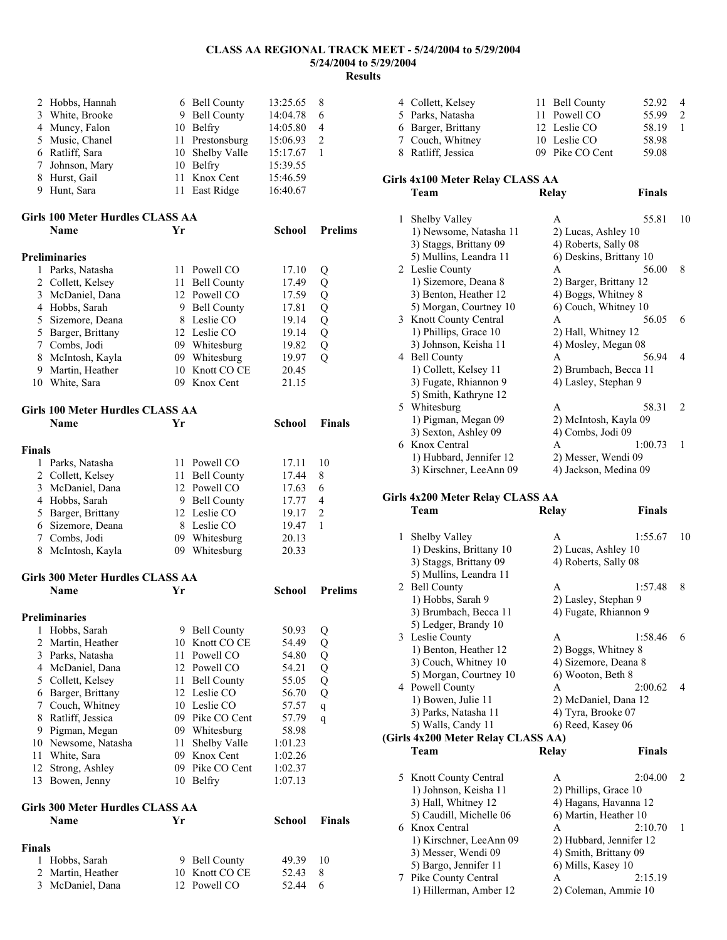**School Prelims** 

| 2 Hobbs, Hannah | 6 Bell County   | 13:25.65 | 8              |
|-----------------|-----------------|----------|----------------|
| 3 White, Brooke | 9 Bell County   | 14:04.78 | 6              |
| 4 Muncy, Falon  | 10 Belfry       | 14:05.80 | $\overline{4}$ |
| 5 Music, Chanel | 11 Prestonsburg | 15:06.93 | $\mathcal{L}$  |
| 6 Ratliff, Sara | 10 Shelby Valle | 15:17.67 |                |
| 7 Johnson, Mary | 10 Belfry       | 15:39.55 |                |
| 8 Hurst, Gail   | 11 Knox Cent    | 15:46.59 |                |
| 9 Hunt, Sara    | 11 East Ridge   | 16:40.67 |                |

| Girls 100 Meter Hurdles CLASS AA |    |
|----------------------------------|----|
| <b>Name</b>                      | Yr |

### **Preliminaries**

|   | Parks, Natasha     | 11 Powell CO   | 17.10 |   |  |
|---|--------------------|----------------|-------|---|--|
|   | 2 Collett, Kelsey  | 11 Bell County | 17.49 |   |  |
|   | 3 McDaniel, Dana   | 12 Powell CO   | 17.59 | O |  |
|   | 4 Hobbs, Sarah     | 9 Bell County  | 17.81 |   |  |
|   | 5 Sizemore, Deana  | 8 Leslie CO    | 19.14 |   |  |
|   | 5 Barger, Brittany | 12 Leslie CO   | 19.14 |   |  |
|   | 7 Combs, Jodi      | 09 Whitesburg  | 19.82 | О |  |
|   | 8 McIntosh, Kayla  | 09 Whitesburg  | 19.97 |   |  |
| 9 | Martin, Heather    | 10 Knott CO CE | 20.45 |   |  |
|   | White, Sara        | Knox Cent      | 21.15 |   |  |

#### **Girls 100 Meter Hurdles CLASS AA Name Yr School Finals**

| <b>Finals</b> |                    |                 |                |       |               |  |
|---------------|--------------------|-----------------|----------------|-------|---------------|--|
|               | Parks, Natasha     |                 | 11 Powell CO   | 17.11 | 10            |  |
|               | 2 Collett, Kelsey  |                 | 11 Bell County | 17.44 | 8             |  |
|               | 3 McDaniel, Dana   |                 | 12 Powell CO   | 17.63 | 6             |  |
|               | 4 Hobbs, Sarah     |                 | 9 Bell County  | 17.77 | 4             |  |
|               | 5 Barger, Brittany |                 | 12 Leslie CO   | 19.17 | $\mathcal{D}$ |  |
|               | 6 Sizemore, Deana  | 8               | Leslie CO      | 19.47 |               |  |
|               | 7 Combs, Jodi      | 09 <sup>2</sup> | Whitesburg     | 20.13 |               |  |
|               | 8 McIntosh, Kayla  | 09              | Whitesburg     | 20.33 |               |  |

### **Girls 300 Meter Hurdles CLASS AA**

|               | Name                             | Yr |                    | School  | <b>Prelims</b> |  |  |  |  |
|---------------|----------------------------------|----|--------------------|---------|----------------|--|--|--|--|
|               | <b>Preliminaries</b>             |    |                    |         |                |  |  |  |  |
| 1             | Hobbs, Sarah                     | 9. | <b>Bell County</b> | 50.93   | Q              |  |  |  |  |
| 2             | Martin, Heather                  | 10 | Knott CO CE        | 54.49   | Q              |  |  |  |  |
| 3             | Parks, Natasha                   | 11 | Powell CO          | 54.80   | Q              |  |  |  |  |
| 4             | McDaniel, Dana                   |    | 12 Powell CO       | 54.21   | Q              |  |  |  |  |
| 5             | Collett, Kelsey                  | 11 | <b>Bell County</b> | 55.05   | Q              |  |  |  |  |
| 6             | Barger, Brittany                 |    | 12 Leslie CO       | 56.70   | Q              |  |  |  |  |
| 7             | Couch, Whitney                   | 10 | Leslie CO          | 57.57   | q              |  |  |  |  |
| 8             | Ratliff, Jessica                 | 09 | Pike CO Cent       | 57.79   | q              |  |  |  |  |
| 9             | Pigman, Megan                    | 09 | Whitesburg         | 58.98   |                |  |  |  |  |
| 10            | Newsome, Natasha                 | 11 | Shelby Valle       | 1:01.23 |                |  |  |  |  |
| 11            | White, Sara                      | 09 | Knox Cent          | 1:02.26 |                |  |  |  |  |
| 12            | Strong, Ashley                   | 09 | Pike CO Cent       | 1:02.37 |                |  |  |  |  |
| 13            | Bowen, Jenny                     | 10 | Belfry             | 1:07.13 |                |  |  |  |  |
|               | Girls 300 Meter Hurdles CLASS AA |    |                    |         |                |  |  |  |  |
|               | Name                             | Yг |                    | School  | <b>Finals</b>  |  |  |  |  |
| <b>Finals</b> |                                  |    |                    |         |                |  |  |  |  |
| 1             | Hobbs, Sarah                     | 9  | <b>Bell County</b> | 49.39   | 10             |  |  |  |  |

2 Martin, Heather 10 Knott CO CE 52.43 8 3 McDaniel, Dana 12 Powell CO 52.44 6

| 4 Collett, Kelsey  | 11 Bell County  | 52.92 4 |     |
|--------------------|-----------------|---------|-----|
| 5 Parks, Natasha   | 11 Powell CO    | 55.99   | 2   |
| 6 Barger, Brittany | 12 Leslie CO    | 58.19   | -1. |
| 7 Couch, Whitney   | 10 Leslie CO    | 58.98   |     |
| 8 Ratliff, Jessica | 09 Pike CO Cent | 59.08   |     |

### **Girls 4x100 Meter Relay CLASS AA**

|   | Team                    | Relay                   | Finals |               |
|---|-------------------------|-------------------------|--------|---------------|
| 1 | Shelby Valley           | A                       | 55.81  | 10            |
|   | 1) Newsome, Natasha 11  | 2) Lucas, Ashley 10     |        |               |
|   | 3) Staggs, Brittany 09  | 4) Roberts, Sally 08    |        |               |
|   | 5) Mullins, Leandra 11  | 6) Deskins, Brittany 10 |        |               |
|   | 2 Leslie County         | A                       | 56.00  | 8             |
|   | 1) Sizemore, Deana 8    | 2) Barger, Brittany 12  |        |               |
|   | 3) Benton, Heather 12   | 4) Boggs, Whitney 8     |        |               |
|   | 5) Morgan, Courtney 10  | 6) Couch, Whitney 10    |        |               |
|   | 3 Knott County Central  | A                       | 56.05  | 6             |
|   | 1) Phillips, Grace 10   | 2) Hall, Whitney 12     |        |               |
|   | 3) Johnson, Keisha 11   | 4) Mosley, Megan 08     |        |               |
| 4 | <b>Bell County</b>      | A                       | 56 94  | 4             |
|   | 1) Collett, Kelsey 11   | 2) Brumbach, Becca 11   |        |               |
|   | 3) Fugate, Rhiannon 9   | 4) Lasley, Stephan 9    |        |               |
|   | 5) Smith, Kathryne 12   |                         |        |               |
|   | 5 Whitesburg            | A                       | 58.31  | $\mathcal{L}$ |
|   | 1) Pigman, Megan 09     | 2) McIntosh, Kayla 09   |        |               |
|   | 3) Sexton, Ashley 09    | 4) Combs, Jodi 09       |        |               |
| 6 | Knox Central            | A                       | 1.0073 | 1             |
|   | 1) Hubbard, Jennifer 12 | 2) Messer, Wendi 09     |        |               |
|   | 3) Kirschner, LeeAnn 09 | 4) Jackson, Medina 09   |        |               |
|   |                         |                         |        |               |

### **Girls 4x200 Meter Relay CLASS AA**

|    | Team                               | Relay                 | <b>Finals</b>           |    |
|----|------------------------------------|-----------------------|-------------------------|----|
| 1  | Shelby Valley                      | A                     | 1:55.67                 | 10 |
|    | 1) Deskins, Brittany 10            | 2) Lucas, Ashley 10   |                         |    |
|    | 3) Staggs, Brittany 09             | 4) Roberts, Sally 08  |                         |    |
|    | 5) Mullins, Leandra 11             |                       |                         |    |
| 2  | <b>Bell County</b>                 | A                     | 1:57.48                 | 8  |
|    | 1) Hobbs, Sarah 9                  | 2) Lasley, Stephan 9  |                         |    |
|    | 3) Brumbach, Becca 11              |                       | 4) Fugate, Rhiannon 9   |    |
|    | 5) Ledger, Brandy 10               |                       |                         |    |
| 3  | Leslie County                      | A                     | 1:58.46                 | 6  |
|    | 1) Benton, Heather 12              | 2) Boggs, Whitney 8   |                         |    |
|    | 3) Couch, Whitney 10               |                       | 4) Sizemore, Deana 8    |    |
|    | 5) Morgan, Courtney 10             | 6) Wooton, Beth 8     |                         |    |
|    | 4 Powell County                    | A                     | 2:00.62                 | 4  |
|    | 1) Bowen, Julie 11                 |                       | 2) McDaniel, Dana 12    |    |
|    | 3) Parks, Natasha 11               | 4) Tyra, Brooke 07    |                         |    |
|    | 5) Walls, Candy 11                 | 6) Reed, Kasey 06     |                         |    |
|    | (Girls 4x200 Meter Relay CLASS AA) |                       |                         |    |
|    | Team                               | Relay                 | <b>Finals</b>           |    |
|    |                                    |                       |                         |    |
| 5. | Knott County Central               | A                     | 2:04.00                 | 2  |
|    | 1) Johnson, Keisha 11              | 2) Phillips, Grace 10 |                         |    |
|    | 3) Hall, Whitney 12                |                       | 4) Hagans, Havanna 12   |    |
|    | 5) Caudill, Michelle 06            |                       | 6) Martin, Heather 10   |    |
| 6  | Knox Central                       | A                     | 2:10.70                 | 1  |
|    | 1) Kirschner, LeeAnn 09            |                       | 2) Hubbard, Jennifer 12 |    |
|    | 3) Messer, Wendi 09                |                       | 4) Smith, Brittany 09   |    |
|    | 5) Bargo, Jennifer 11              | 6) Mills, Kasey 10    |                         |    |
| 7  | Pike County Central                | A                     | 2:15.19                 |    |
|    | 1) Hillerman, Amber 12             |                       | 2) Coleman, Ammie 10    |    |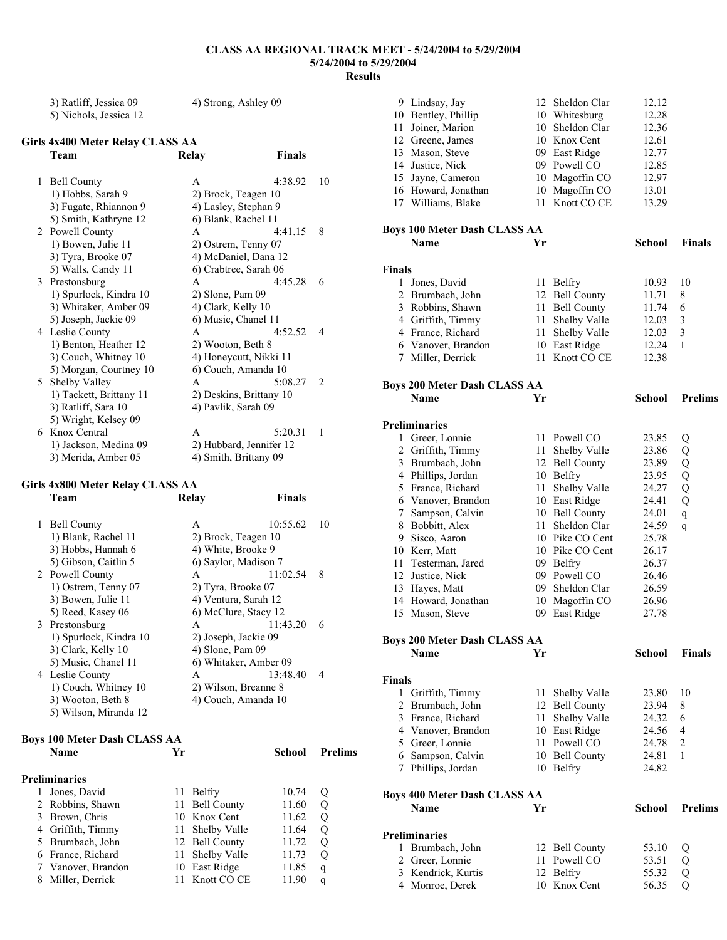**Finals** 

| 3) Ratliff, Jessica 09 | 4) Strong, Ashley 09 |
|------------------------|----------------------|
| 5) Nichols, Jessica 12 |                      |

# **Girls 4x400 Meter Relay CLASS AA**

| 1 | <b>Bell County</b>      | 4:38.92<br>A            | 10            |
|---|-------------------------|-------------------------|---------------|
|   | 1) Hobbs, Sarah 9       | 2) Brock, Teagen 10     |               |
|   | 3) Fugate, Rhiannon 9   | 4) Lasley, Stephan 9    |               |
|   | 5) Smith, Kathryne 12   | 6) Blank, Rachel 11     |               |
|   | 2 Powell County         | 4.4115<br>A             | 8             |
|   | 1) Bowen, Julie 11      | 2) Ostrem, Tenny 07     |               |
|   | 3) Tyra, Brooke 07      | 4) McDaniel, Dana 12    |               |
|   | 5) Walls, Candy 11      | 6) Crabtree, Sarah 06   |               |
|   | 3 Prestonsburg          | 4:45.28<br>A            | 6             |
|   | 1) Spurlock, Kindra 10  | $2)$ Slone, Pam 09      |               |
|   | 3) Whitaker, Amber 09   | 4) Clark, Kelly 10      |               |
|   | 5) Joseph, Jackie 09    | 6) Music, Chanel 11     |               |
|   | 4 Leslie County         | 4:52.52<br>A            | 4             |
|   | 1) Benton, Heather 12   | 2) Wooton, Beth 8       |               |
|   | 3) Couch, Whitney 10    | 4) Honeycutt, Nikki 11  |               |
|   | 5) Morgan, Courtney 10  | 6) Couch, Amanda 10     |               |
|   | 5 Shelby Valley         | A<br>5:08.27            | $\mathcal{D}$ |
|   | 1) Tackett, Brittany 11 | 2) Deskins, Brittany 10 |               |
|   | 3) Ratliff, Sara 10     | 4) Pavlik, Sarah 09     |               |
|   | 5) Wright, Kelsey 09    |                         |               |
|   | 6 Knox Central          | 5:20.31<br>A            | 1             |
|   | 1) Jackson, Medina 09   | 2) Hubbard, Jennifer 12 |               |
|   | 3) Merida, Amber 05     | 4) Smith, Brittany 09   |               |

## **Girls 4x800 Meter Relay CLASS AA**

|   | Team                                |    | Relay                 | Finals   |                |
|---|-------------------------------------|----|-----------------------|----------|----------------|
| 1 | <b>Bell County</b>                  |    | A                     | 10:55.62 | 10             |
|   | 1) Blank, Rachel 11                 |    | 2) Brock, Teagen 10   |          |                |
|   | 3) Hobbs, Hannah 6                  |    | 4) White, Brooke 9    |          |                |
|   | 5) Gibson, Caitlin 5                |    | 6) Saylor, Madison 7  |          |                |
|   | 2 Powell County                     |    | A                     | 11:02.54 | 8              |
|   | 1) Ostrem, Tenny 07                 |    | 2) Tyra, Brooke 07    |          |                |
|   | 3) Bowen, Julie 11                  |    | 4) Ventura, Sarah 12  |          |                |
|   | 5) Reed, Kasey 06                   |    | 6) McClure, Stacy 12  |          |                |
|   | 3 Prestonsburg                      |    | A                     | 11:43.20 | 6              |
|   | 1) Spurlock, Kindra 10              |    | 2) Joseph, Jackie 09  |          |                |
|   | 3) Clark, Kelly 10                  |    | 4) Slone, Pam 09      |          |                |
|   | 5) Music, Chanel 11                 |    | 6) Whitaker, Amber 09 |          |                |
|   | 4 Leslie County                     |    | A                     | 13:48.40 | $\overline{4}$ |
|   | 1) Couch, Whitney 10                |    | 2) Wilson, Breanne 8  |          |                |
|   | 3) Wooton, Beth 8                   |    | 4) Couch, Amanda 10   |          |                |
|   | 5) Wilson, Miranda 12               |    |                       |          |                |
|   | <b>Boys 100 Meter Dash CLASS AA</b> |    |                       |          |                |
|   | <b>Name</b>                         | Yr |                       | School   | <b>Prelims</b> |
|   | <b>Preliminaries</b>                |    |                       |          |                |
| 1 | Jones, David                        | 11 | Belfry                | 10.74    | Q              |
|   | 2 Robbins, Shawn                    | 11 | <b>Bell County</b>    | 11.60    | Q              |
|   | 3 Brown, Chris                      | 10 | Knox Cent             | 11.62    | Q              |
| 4 | Griffith, Timmy                     | 11 | Shelby Valle          | 11.64    | Q              |
| 5 | Brumbach, John                      | 12 | <b>Bell County</b>    | 11.72    | Q              |
| 6 | France, Richard                     | 11 | Shelby Valle          | 11.73    | Q              |
| 7 | Vanover, Brandon                    | 10 | East Ridge            | 11.85    | q              |

8 Miller, Derrick 11 Knott CO CE 11.90 q

| 9             | Lindsay, Jay                                |          | 12 Sheldon Clar                     | 12.12          |                |
|---------------|---------------------------------------------|----------|-------------------------------------|----------------|----------------|
|               | 10 Bentley, Phillip                         |          | 10 Whitesburg                       | 12.28          |                |
| 11            | Joiner, Marion                              | 10       | Sheldon Clar                        | 12.36          |                |
|               | 12 Greene, James                            |          | 10 Knox Cent                        | 12.61          |                |
|               | 13 Mason, Steve                             |          | 09 East Ridge                       | 12.77          |                |
|               | 14 Justice, Nick                            |          | 09 Powell CO                        | 12.85          |                |
|               | 15 Jayne, Cameron                           | 10       | Magoffin CO                         | 12.97          |                |
|               | 16 Howard, Jonathan                         | 10       | Magoffin CO                         | 13.01          |                |
|               | 17 Williams, Blake                          | 11       | Knott CO CE                         | 13.29          |                |
|               |                                             |          |                                     |                |                |
|               | <b>Boys 100 Meter Dash CLASS AA</b>         |          |                                     |                |                |
|               | <b>Name</b>                                 | Yr       |                                     | <b>School</b>  | <b>Finals</b>  |
|               |                                             |          |                                     |                |                |
| <b>Finals</b> |                                             |          |                                     |                |                |
|               | 1 Jones, David                              |          | 11 Belfry                           | 10.93          | 10             |
|               | 2 Brumbach, John                            |          | 12 Bell County                      | 11.71          | 8              |
|               | 3 Robbins, Shawn                            | 11       | <b>Bell County</b>                  | 11.74          | 6              |
|               | 4 Griffith, Timmy                           | 11       | Shelby Valle                        | 12.03          | 3              |
|               | 4 France, Richard                           | 11       | Shelby Valle                        | 12.03          | 3              |
|               | 6 Vanover, Brandon                          |          | 10 East Ridge                       | 12.24          | 1              |
|               | 7 Miller, Derrick                           | 11       | Knott CO CE                         | 12.38          |                |
|               |                                             |          |                                     |                |                |
|               | <b>Boys 200 Meter Dash CLASS AA</b>         |          |                                     |                |                |
|               | <b>Name</b>                                 | Yr       |                                     | <b>School</b>  | <b>Prelims</b> |
|               | <b>Preliminaries</b>                        |          |                                     |                |                |
|               | 1 Greer, Lonnie                             |          | 11 Powell CO                        | 23.85          |                |
|               |                                             |          |                                     |                | Q              |
|               | 2 Griffith, Timmy<br>3 Brumbach, John       | 11<br>12 | Shelby Valle                        | 23.86<br>23.89 | Q              |
|               |                                             | 10       | <b>Bell County</b><br><b>Belfry</b> |                | Q              |
|               | 4 Phillips, Jordan<br>5 France, Richard     | 11       | Shelby Valle                        | 23.95<br>24.27 | Q<br>Q         |
|               | 6 Vanover, Brandon                          |          | 10 East Ridge                       | 24.41          | Q              |
|               |                                             |          | 10 Bell County                      | 24.01          |                |
|               | 7 Sampson, Calvin<br>8 Bobbitt, Alex        | 11       | Sheldon Clar                        | 24.59          | $\mathbf q$    |
|               | 9 Sisco, Aaron                              |          | 10 Pike CO Cent                     | 25.78          | q              |
|               | 10 Kerr, Matt                               | 10       | Pike CO Cent                        | 26.17          |                |
|               | 11 Testerman, Jared                         | 09       | Belfry                              | 26.37          |                |
|               | 12 Justice, Nick                            |          | 09 Powell CO                        | 26.46          |                |
|               | 13 Hayes, Matt                              |          | 09 Sheldon Clar                     | 26.59          |                |
|               | 14 Howard, Jonathan                         |          | 10 Magoffin CO                      | 26.96          |                |
| 15            | Mason, Steve                                | 09       | East Ridge                          | 27.78          |                |
|               |                                             |          |                                     |                |                |
|               | <b>Boys 200 Meter Dash CLASS AA</b>         |          |                                     |                |                |
|               | <b>Name</b>                                 | Yr       |                                     | School         | <b>Finals</b>  |
|               |                                             |          |                                     |                |                |
| <b>Finals</b> |                                             |          |                                     |                |                |
| $\mathbf{1}$  | Griffith, Timmy                             | 11       | Shelby Valle                        | 23.80          | 10             |
|               | 2 Brumbach, John                            | 12       | <b>Bell County</b>                  | 23.94          | 8              |
|               | 3 France, Richard                           | 11       | Shelby Valle                        | 24.32          | 6              |
|               | 4 Vanover, Brandon                          |          | 10 East Ridge                       | 24.56          | 4              |
|               | 5 Greer, Lonnie                             | 11       | Powell CO                           | 24.78          | $\overline{2}$ |
|               | 6 Sampson, Calvin                           | 10       | <b>Bell County</b>                  | 24.81          | 1              |
|               | 7 Phillips, Jordan                          | 10       | <b>Belfry</b>                       | 24.82          |                |
|               |                                             |          |                                     |                |                |
|               | <b>Boys 400 Meter Dash CLASS AA</b><br>Name | Yr       |                                     | School         | <b>Prelims</b> |
|               |                                             |          |                                     |                |                |
|               | <b>Preliminaries</b>                        |          |                                     |                |                |
|               | 1 Brumbach, John                            | 12       | <b>Bell County</b>                  | 53.10          | Q              |
|               | 2 Greer, Lonnie                             | 11       | Powell CO                           | 53.51          | Q              |
|               | 3 Kendrick, Kurtis                          |          | 12 Belfry                           | 55.32          | Q              |
|               | 4 Monroe, Derek                             |          | 10 Knox Cent                        | 56.35          | Q              |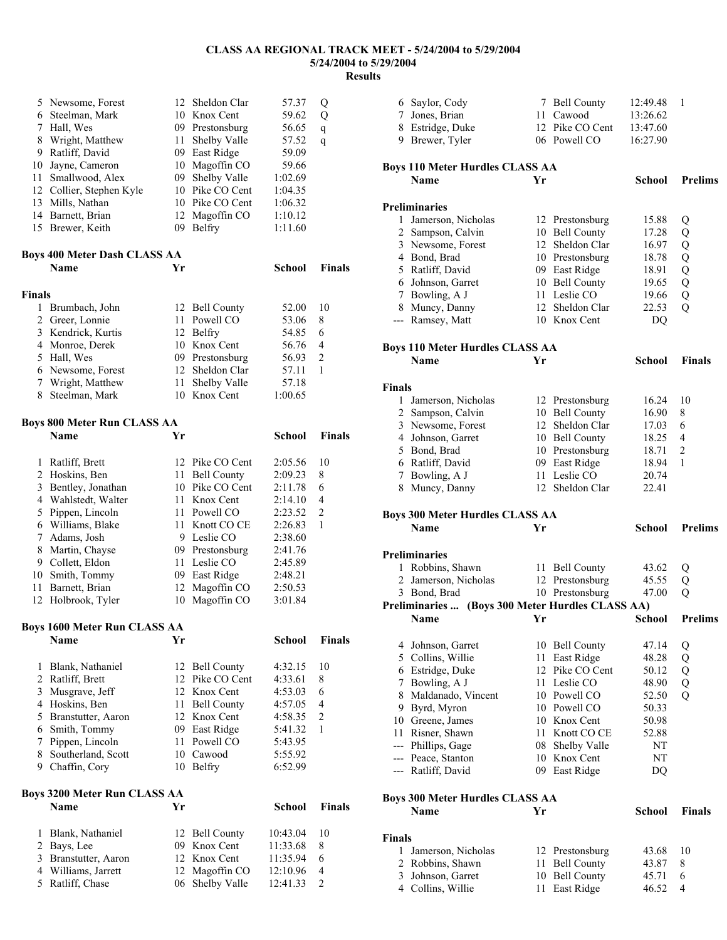|               | 5 Newsome, Forest                   | 12   | Sheldon Clar    | 57.37         | Q              |
|---------------|-------------------------------------|------|-----------------|---------------|----------------|
|               | 6 Steelman, Mark                    |      | 10 Knox Cent    | 59.62         | Q              |
|               | 7 Hall, Wes                         |      | 09 Prestonsburg | 56.65         | q              |
|               | 8 Wright, Matthew                   |      | 11 Shelby Valle | 57.52         | q              |
|               | 9 Ratliff, David                    |      | 09 East Ridge   | 59.09         |                |
| 10            | Jayne, Cameron                      |      | 10 Magoffin CO  | 59.66         |                |
|               | 11 Smallwood, Alex                  |      | 09 Shelby Valle | 1:02.69       |                |
|               |                                     |      |                 |               |                |
|               | 12 Collier, Stephen Kyle            |      | 10 Pike CO Cent | 1:04.35       |                |
|               | 13 Mills, Nathan                    |      | 10 Pike CO Cent | 1:06.32       |                |
|               | 14 Barnett, Brian                   | 12   | Magoffin CO     | 1:10.12       |                |
|               | 15 Brewer, Keith                    | 09   | <b>Belfry</b>   | 1:11.60       |                |
|               |                                     |      |                 |               |                |
|               | <b>Boys 400 Meter Dash CLASS AA</b> |      |                 |               |                |
|               | <b>Name</b>                         | Yr   |                 | School        | <b>Finals</b>  |
|               |                                     |      |                 |               |                |
| <b>Finals</b> |                                     |      |                 |               |                |
| 1             | Brumbach, John                      |      | 12 Bell County  | 52.00         | 10             |
|               |                                     |      |                 |               |                |
|               | 2 Greer, Lonnie                     | 11 - | Powell CO       | 53.06         | 8              |
|               | 3 Kendrick, Kurtis                  |      | 12 Belfry       | 54.85         | 6              |
|               | 4 Monroe, Derek                     |      | 10 Knox Cent    | 56.76         | 4              |
|               | 5 Hall, Wes                         |      | 09 Prestonsburg | 56.93         | 2              |
|               | 6 Newsome, Forest                   |      | 12 Sheldon Clar | 57.11         | 1              |
|               | 7 Wright, Matthew                   | 11   | Shelby Valle    | 57.18         |                |
| 8             | Steelman, Mark                      |      | 10 Knox Cent    | 1:00.65       |                |
|               |                                     |      |                 |               |                |
|               | <b>Boys 800 Meter Run CLASS AA</b>  |      |                 |               |                |
|               | <b>Name</b>                         | Yr   |                 | <b>School</b> | <b>Finals</b>  |
|               |                                     |      |                 |               |                |
|               |                                     |      |                 |               |                |
| 1             | Ratliff, Brett                      |      | 12 Pike CO Cent | 2:05.56       | 10             |
|               | 2 Hoskins, Ben                      |      | 11 Bell County  | 2:09.23       | 8              |
|               | 3 Bentley, Jonathan                 |      | 10 Pike CO Cent | 2:11.78       | 6              |
|               | 4 Wahlstedt, Walter                 | 11 - | Knox Cent       | 2:14.10       | 4              |
|               | 5 Pippen, Lincoln                   |      | 11 Powell CO    | 2:23.52       | $\overline{c}$ |
|               | 6 Williams, Blake                   |      | 11 Knott CO CE  | 2:26.83       | 1              |
|               | 7 Adams, Josh                       |      | 9 Leslie CO     | 2:38.60       |                |
|               | 8 Martin, Chayse                    |      | 09 Prestonsburg | 2:41.76       |                |
|               |                                     |      | 11 Leslie CO    |               |                |
|               | 9 Collett, Eldon                    |      |                 | 2:45.89       |                |
|               | 10 Smith, Tommy                     |      | 09 East Ridge   | 2:48.21       |                |
| 11            | Barnett, Brian                      | 12   | Magoffin CO     | 2:50.53       |                |
| 12            | Holbrook, Tyler                     | 10   | Magoffin CO     | 3:01.84       |                |
|               |                                     |      |                 |               |                |
|               | <b>Boys 1600 Meter Run CLASS AA</b> |      |                 |               |                |
|               | Name                                | Yr   |                 | School        | <b>Finals</b>  |
|               |                                     |      |                 |               |                |
| 1             | Blank, Nathaniel                    |      | 12 Bell County  | 4:32.15       | 10             |
|               | 2 Ratliff, Brett                    |      | 12 Pike CO Cent | 4:33.61       | 8              |
|               | 3 Musgrave, Jeff                    |      | 12 Knox Cent    | 4:53.03       | 6              |
|               | 4 Hoskins, Ben                      |      | 11 Bell County  | 4:57.05       | 4              |
|               |                                     |      |                 |               | $\sqrt{2}$     |
|               | 5 Branstutter, Aaron                |      | 12 Knox Cent    | 4:58.35       |                |
|               | 6 Smith, Tommy                      |      | 09 East Ridge   | 5:41.32       | 1              |
| 7             | Pippen, Lincoln                     |      | 11 Powell CO    | 5:43.95       |                |
|               | 8 Southerland, Scott                |      | 10 Cawood       | 5:55.92       |                |
|               | 9 Chaffin, Cory                     |      | 10 Belfry       | 6:52.99       |                |
|               |                                     |      |                 |               |                |
|               | <b>Boys 3200 Meter Run CLASS AA</b> |      |                 |               |                |
|               | Name                                | Yr   |                 | School        | <b>Finals</b>  |
|               |                                     |      |                 |               |                |
| 1             | Blank, Nathaniel                    |      | 12 Bell County  | 10:43.04      | 10             |
|               | 2 Bays, Lee                         |      | 09 Knox Cent    | 11:33.68      | 8              |
|               | 3 Branstutter, Aaron                |      | 12 Knox Cent    | 11:35.94      | 6              |
|               | 4 Williams, Jarrett                 | 12   | Magoffin CO     | 12:10.96      | 4              |
|               | 5 Ratliff, Chase                    | 06   | Shelby Valle    | 12:41.33      | $\overline{c}$ |
|               |                                     |      |                 |               |                |

|               | 6 Saylor, Cody                                   |    | 7 Bell County                    | 12:49.48      | 1              |
|---------------|--------------------------------------------------|----|----------------------------------|---------------|----------------|
|               | 7 Jones, Brian                                   |    | 11 Cawood                        | 13:26.62      |                |
|               | 8 Estridge, Duke                                 |    | 12 Pike CO Cent                  | 13:47.60      |                |
|               | 9 Brewer, Tyler                                  |    | 06 Powell CO                     | 16:27.90      |                |
|               |                                                  |    |                                  |               |                |
|               | <b>Boys 110 Meter Hurdles CLASS AA</b>           |    |                                  |               |                |
|               | <b>Name</b>                                      | Yr |                                  | <b>School</b> | <b>Prelims</b> |
|               |                                                  |    |                                  |               |                |
|               | <b>Preliminaries</b>                             |    |                                  |               |                |
|               | 1 Jamerson, Nicholas                             |    | 12 Prestonsburg                  | 15.88         | Q              |
|               | 2 Sampson, Calvin                                |    | 10 Bell County                   | 17.28         | Q              |
|               | 3 Newsome, Forest                                |    | 12 Sheldon Clar                  | 16.97         | Q              |
|               | 4 Bond, Brad                                     |    | 10 Prestonsburg                  | 18.78         | Q              |
|               | 5 Ratliff, David                                 |    | 09 East Ridge                    | 18.91         | Q              |
|               | 6 Johnson, Garret                                |    | 10 Bell County                   | 19.65         | Q              |
|               | 7 Bowling, A J                                   |    | 11 Leslie CO                     | 19.66         | Q              |
|               | 8 Muncy, Danny                                   |    | 12 Sheldon Clar                  | 22.53         | $\overline{Q}$ |
|               | --- Ramsey, Matt                                 |    | 10 Knox Cent                     |               |                |
|               |                                                  |    |                                  | DQ            |                |
|               | <b>Boys 110 Meter Hurdles CLASS AA</b>           |    |                                  |               |                |
|               | Name                                             | Yr |                                  | School        | <b>Finals</b>  |
|               |                                                  |    |                                  |               |                |
| <b>Finals</b> |                                                  |    |                                  |               |                |
|               | 1 Jamerson, Nicholas                             |    | 12 Prestonsburg                  | 16.24         | 10             |
|               | 2 Sampson, Calvin                                |    | 10 Bell County                   | 16.90         | 8              |
|               | 3 Newsome, Forest                                |    | 12 Sheldon Clar                  |               |                |
|               |                                                  |    |                                  | 17.03         | 6              |
|               | 4 Johnson, Garret                                |    | 10 Bell County                   | 18.25         | 4              |
|               | 5 Bond, Brad                                     |    | 10 Prestonsburg                  | 18.71         | 2              |
|               | 6 Ratliff, David                                 |    | 09 East Ridge                    | 18.94         | 1              |
|               | 7 Bowling, A J                                   |    | 11 Leslie CO                     | 20.74         |                |
|               | 8 Muncy, Danny                                   |    | 12 Sheldon Clar                  | 22.41         |                |
|               |                                                  |    |                                  |               |                |
|               |                                                  |    |                                  |               |                |
|               | <b>Boys 300 Meter Hurdles CLASS AA</b>           |    |                                  |               |                |
|               | <b>Name</b>                                      | Yr |                                  | School        | <b>Prelims</b> |
|               |                                                  |    |                                  |               |                |
|               | <b>Preliminaries</b>                             |    |                                  |               |                |
|               | 1 Robbins, Shawn                                 |    | 11 Bell County                   | 43.62         | Q              |
|               | 2 Jamerson, Nicholas                             |    | 12 Prestonsburg                  | 45.55         | Q              |
|               | 3 Bond, Brad                                     |    | 10 Prestonsburg                  | 47.00         | Q              |
|               | Preliminaries  (Boys 300 Meter Hurdles CLASS AA) |    |                                  |               |                |
|               | Name                                             | Yr |                                  | <b>School</b> | <b>Prelims</b> |
|               |                                                  |    |                                  |               |                |
|               | 4 Johnson, Garret                                |    | 10 Bell County                   | 47.14         | Q              |
|               | 5 Collins, Willie                                |    | 11 East Ridge                    | 48.28         | Q              |
|               | 6 Estridge, Duke                                 |    | 12 Pike CO Cent                  | 50.12         | Q              |
|               | 7 Bowling, A J                                   |    | 11 Leslie CO                     | 48.90         | Q              |
|               | 8 Maldanado, Vincent                             |    | 10 Powell CO                     | 52.50         | Q              |
|               | 9 Byrd, Myron                                    |    | 10 Powell CO                     | 50.33         |                |
|               | 10 Greene, James                                 |    | 10 Knox Cent                     | 50.98         |                |
|               | 11 Risner, Shawn                                 |    | 11 Knott CO CE                   | 52.88         |                |
|               | --- Phillips, Gage                               |    | 08 Shelby Valle                  | NT            |                |
|               | --- Peace, Stanton                               |    | 10 Knox Cent                     | NT            |                |
|               | --- Ratliff, David                               |    | 09 East Ridge                    | DQ            |                |
|               |                                                  |    |                                  |               |                |
|               |                                                  |    |                                  |               |                |
|               | <b>Boys 300 Meter Hurdles CLASS AA</b><br>Name   | Yr |                                  | School        | Finals         |
|               |                                                  |    |                                  |               |                |
| <b>Finals</b> |                                                  |    |                                  |               |                |
|               |                                                  |    |                                  | 43.68         | 10             |
|               | 1 Jamerson, Nicholas<br>2 Robbins, Shawn         |    | 12 Prestonsburg                  | 43.87         | 8              |
|               | 3 Johnson, Garret                                |    | 11 Bell County<br>10 Bell County | 45.71         | 6              |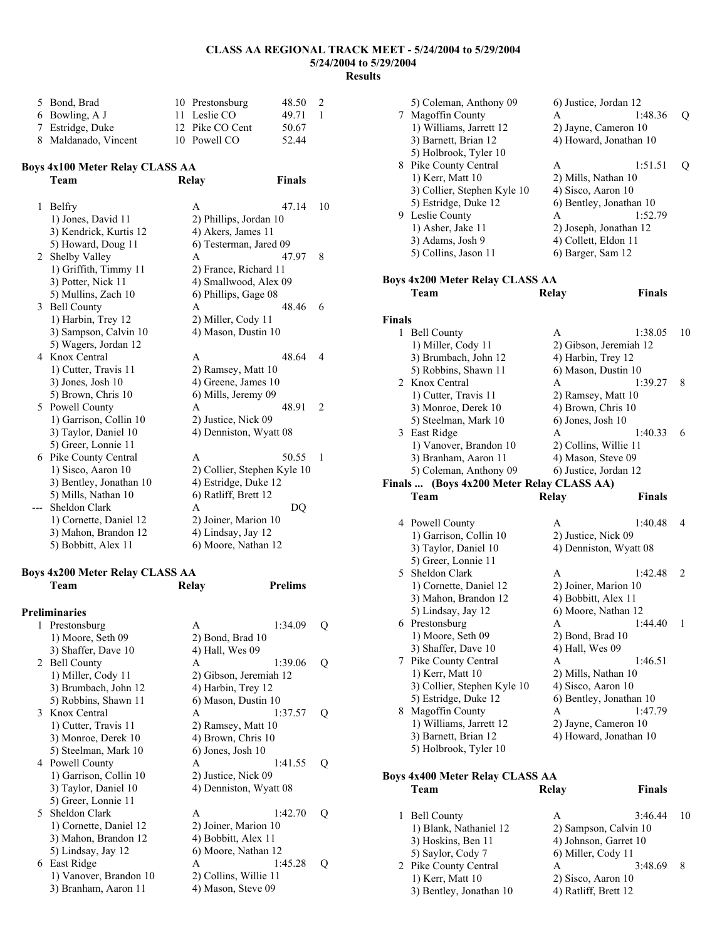| 5 Bond, Brad         | 10 Prestonsburg | 48.50 | 2              |
|----------------------|-----------------|-------|----------------|
| 6 Bowling, A J       | 11 Leslie CO    | 49.71 | $\overline{1}$ |
| 7 Estridge, Duke     | 12 Pike CO Cent | 50.67 |                |
| 8 Maldanado, Vincent | 10 Powell CO    | 52.44 |                |

## **Boys 4x100 Meter Relay CLASS AA**

|   | Team                    | Relay                  | <b>Finals</b>               |    |
|---|-------------------------|------------------------|-----------------------------|----|
| 1 | Belfry                  | A                      | 47.14                       | 10 |
|   | 1) Jones, David 11      | 2) Phillips, Jordan 10 |                             |    |
|   | 3) Kendrick, Kurtis 12  | 4) Akers, James 11     |                             |    |
|   | 5) Howard, Doug 11      | 6) Testerman, Jared 09 |                             |    |
| 2 | Shelby Valley           | A                      | 47.97                       | 8  |
|   | 1) Griffith, Timmy 11   | 2) France, Richard 11  |                             |    |
|   | 3) Potter, Nick 11      | 4) Smallwood, Alex 09  |                             |    |
|   | 5) Mullins, Zach 10     | 6) Phillips, Gage 08   |                             |    |
| 3 | <b>Bell County</b>      | A                      | 48.46                       | 6  |
|   | 1) Harbin, Trey 12      | 2) Miller, Cody 11     |                             |    |
|   | 3) Sampson, Calvin 10   | 4) Mason, Dustin 10    |                             |    |
|   | 5) Wagers, Jordan 12    |                        |                             |    |
| 4 | Knox Central            | A                      | 48.64                       | 4  |
|   | 1) Cutter, Travis 11    | 2) Ramsey, Matt 10     |                             |    |
|   | $3)$ Jones, Josh 10     | 4) Greene, James 10    |                             |    |
|   | 5) Brown, Chris 10      | 6) Mills, Jeremy 09    |                             |    |
| 5 | Powell County           | A                      | 48.91                       | 2  |
|   | 1) Garrison, Collin 10  | 2) Justice, Nick 09    |                             |    |
|   | 3) Taylor, Daniel 10    | 4) Denniston, Wyatt 08 |                             |    |
|   | 5) Greer, Lonnie 11     |                        |                             |    |
| 6 | Pike County Central     | A                      | 50.55                       | 1  |
|   | 1) Sisco, Aaron 10      |                        | 2) Collier, Stephen Kyle 10 |    |
|   | 3) Bentley, Jonathan 10 | 4) Estridge, Duke 12   |                             |    |
|   | 5) Mills, Nathan 10     | 6) Ratliff, Brett 12   |                             |    |
|   | Sheldon Clark           | A                      | DQ                          |    |
|   | 1) Cornette, Daniel 12  | 2) Joiner, Marion 10   |                             |    |
|   | 3) Mahon, Brandon 12    | 4) Lindsay, Jay 12     |                             |    |
|   | 5) Bobbitt, Alex 11     | 6) Moore, Nathan 12    |                             |    |

### **Boys 4x200 Meter Relay CLASS AA**

|   | Team                   | Relay                 | <b>Prelims</b>         |   |
|---|------------------------|-----------------------|------------------------|---|
|   | <b>Preliminaries</b>   |                       |                        |   |
| 1 | Prestonsburg           | A                     | 1:34.09                | Ő |
|   | 1) Moore, Seth 09      | $2)$ Bond, Brad $10$  |                        |   |
|   | 3) Shaffer, Dave 10    | 4) Hall, Wes 09       |                        |   |
|   | 2 Bell County          | A                     | 1:39.06                | Q |
|   | 1) Miller, Cody 11     |                       | 2) Gibson, Jeremiah 12 |   |
|   | 3) Brumbach, John 12   | 4) Harbin, Trey 12    |                        |   |
|   | 5) Robbins, Shawn 11   | 6) Mason, Dustin 10   |                        |   |
|   | 3 Knox Central         | A                     | 1:37.57                | Q |
|   | 1) Cutter, Travis 11   | 2) Ramsey, Matt 10    |                        |   |
|   | 3) Monroe, Derek 10    | 4) Brown, Chris 10    |                        |   |
|   | 5) Steelman, Mark 10   | 6) Jones, Josh 10     |                        |   |
|   | 4 Powell County        | A                     | 1:41.55                | Q |
|   | 1) Garrison, Collin 10 | 2) Justice, Nick 09   |                        |   |
|   | 3) Taylor, Daniel 10   |                       | 4) Denniston, Wyatt 08 |   |
|   | 5) Greer, Lonnie 11    |                       |                        |   |
|   | 5 Sheldon Clark        | A                     | 1:42.70                | Q |
|   | 1) Cornette, Daniel 12 | 2) Joiner, Marion 10  |                        |   |
|   | 3) Mahon, Brandon 12   | 4) Bobbitt, Alex 11   |                        |   |
|   | 5) Lindsay, Jay 12     | 6) Moore, Nathan 12   |                        |   |
|   | 6 East Ridge           | A                     | 1:45.28                | Q |
|   | 1) Vanover, Brandon 10 | 2) Collins, Willie 11 |                        |   |
|   | 3) Branham, Aaron 11   | 4) Mason, Steve 09    |                        |   |

|        | 5) Coleman, Anthony 09<br>7 Magoffin County<br>1) Williams, Jarrett 12<br>3) Barnett, Brian 12                            | 6) Justice, Jordan 12<br>A<br>2) Jayne, Cameron 10<br>4) Howard, Jonathan 10 | 1:48.36       | Q  |
|--------|---------------------------------------------------------------------------------------------------------------------------|------------------------------------------------------------------------------|---------------|----|
|        | 5) Holbrook, Tyler 10<br>8 Pike County Central<br>1) Kerr, Matt 10<br>3) Collier, Stephen Kyle 10<br>5) Estridge, Duke 12 | A<br>2) Mills, Nathan 10<br>4) Sisco, Aaron 10<br>6) Bentley, Jonathan 10    | 1:51.51       | Q  |
|        | 9 Leslie County<br>1) Asher, Jake 11<br>3) Adams, Josh 9<br>5) Collins, Jason 11                                          | A<br>2) Joseph, Jonathan 12<br>4) Collett, Eldon 11<br>6) Barger, Sam 12     | 1:52.79       |    |
|        | <b>Boys 4x200 Meter Relay CLASS AA</b><br>Team                                                                            | Relay                                                                        | Finals        |    |
|        |                                                                                                                           |                                                                              |               |    |
| Finals |                                                                                                                           |                                                                              |               |    |
|        | 1 Bell County<br>1) Miller, Cody 11                                                                                       | A<br>2) Gibson, Jeremiah 12                                                  | 1:38.05       | 10 |
|        | 3) Brumbach, John 12<br>5) Robbins, Shawn 11<br>2 Knox Central                                                            | 4) Harbin, Trey 12<br>6) Mason, Dustin 10<br>A                               | 1:39.27       | 8  |
|        | 1) Cutter, Travis 11<br>3) Monroe, Derek 10<br>5) Steelman, Mark 10                                                       | 2) Ramsey, Matt 10<br>4) Brown, Chris 10<br>6) Jones, Josh 10                |               |    |
|        | 3 East Ridge<br>1) Vanover, Brandon 10<br>3) Branham, Aaron 11                                                            | A<br>2) Collins, Willie 11<br>4) Mason, Steve 09                             | 1:40.33       | 6  |
|        | 5) Coleman, Anthony 09                                                                                                    | 6) Justice, Jordan 12                                                        |               |    |
|        | Finals  (Boys 4x200 Meter Relay CLASS AA)<br>Team                                                                         |                                                                              | <b>Finals</b> |    |
|        |                                                                                                                           |                                                                              |               |    |
|        |                                                                                                                           | Relay                                                                        |               |    |
|        | 4 Powell County                                                                                                           | A                                                                            | 1:40.48       | 4  |
|        | 1) Garrison, Collin 10<br>3) Taylor, Daniel 10<br>5) Greer, Lonnie 11                                                     | 2) Justice, Nick 09<br>4) Denniston, Wyatt 08                                |               |    |
|        | 5 Sheldon Clark<br>1) Cornette, Daniel 12<br>3) Mahon, Brandon 12                                                         | A<br>2) Joiner, Marion 10<br>4) Bobbitt, Alex 11                             | 1:42.48       | 2  |
|        | 5) Lindsay, Jay 12<br>6 Prestonsburg<br>1) Moore, Seth 09                                                                 | 6) Moore, Nathan 12<br>A<br>2) Bond, Brad 10                                 | 1:44.40       | 1  |
| 7      | 3) Shaffer, Dave 10<br>Pike County Central<br>1) Kerr, Matt 10                                                            | 4) Hall, Wes 09<br>A<br>2) Mills, Nathan 10                                  | 1:46.51       |    |
|        | 3) Collier, Stephen Kyle 10<br>5) Estridge, Duke 12<br>8 Magoffin County                                                  | 4) Sisco, Aaron 10<br>6) Bentley, Jonathan 10<br>Α                           | 1:47.79       |    |
|        | 1) Williams, Jarrett 12<br>3) Barnett, Brian 12<br>5) Holbrook, Tyler 10                                                  | 2) Jayne, Cameron 10<br>4) Howard, Jonathan 10                               |               |    |
|        |                                                                                                                           |                                                                              |               |    |
|        | Boys 4x400 Meter Relay CLASS AA<br>Team                                                                                   | Relay                                                                        | <b>Finals</b> |    |

| 1 Bell County           |                       | 3:46.44               | 10 |
|-------------------------|-----------------------|-----------------------|----|
| 1) Blank, Nathaniel 12  |                       | 2) Sampson, Calvin 10 |    |
| 3) Hoskins, Ben 11      | 4) Johnson, Garret 10 |                       |    |
| 5) Saylor, Cody 7       | 6) Miller, Cody 11    |                       |    |
| 2 Pike County Central   | А                     | 3:48.69               | 8  |
| 1) Kerr, Matt 10        | 2) Sisco, Aaron 10    |                       |    |
| 3) Bentley, Jonathan 10 | 4) Ratliff, Brett 12  |                       |    |
|                         |                       |                       |    |